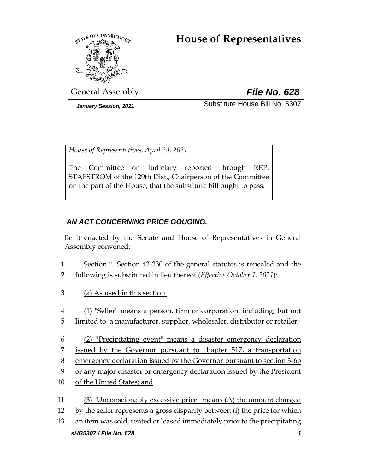# **House of Representatives**



General Assembly *File No. 628*

*January Session, 2021* Substitute House Bill No. 5307

*House of Representatives, April 29, 2021*

The Committee on Judiciary reported through REP. STAFSTROM of the 129th Dist., Chairperson of the Committee on the part of the House, that the substitute bill ought to pass.

# *AN ACT CONCERNING PRICE GOUGING.*

Be it enacted by the Senate and House of Representatives in General Assembly convened:

- 1 Section 1. Section 42-230 of the general statutes is repealed and the
- 2 following is substituted in lieu thereof (*Effective October 1, 2021*):
- 3 (a) As used in this section:
- 4 (1) "Seller" means a person, firm or corporation, including, but not
- 5 limited to, a manufacturer, supplier, wholesaler, distributor or retailer;
- 6 (2) "Precipitating event" means a disaster emergency declaration 7 issued by the Governor pursuant to chapter 517, a transportation 8 emergency declaration issued by the Governor pursuant to section 3-6b 9 or any major disaster or emergency declaration issued by the President
- 10 of the United States; and
- 11 (3) "Unconscionably excessive price" means (A) the amount charged 12 by the seller represents a gross disparity between (i) the price for which
- 13 an item was sold, rented or leased immediately prior to the precipitating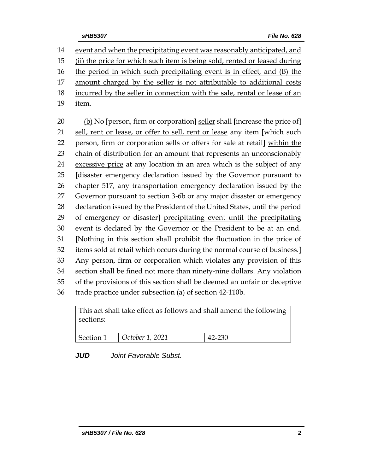event and when the precipitating event was reasonably anticipated, and (ii) the price for which such item is being sold, rented or leased during the period in which such precipitating event is in effect*,* and (B) the amount charged by the seller is not attributable to additional costs incurred by the seller in connection with the sale, rental or lease of an 19 <u>item.</u> (b) No **[**person, firm or corporation**]** seller shall **[**increase the price of**]**

 sell, rent or lease, or offer to sell, rent or lease any item **[**which such person, firm or corporation sells or offers for sale at retail**]** within the 23 chain of distribution for an amount that represents an unconscionably excessive price at any location in an area which is the subject of any **[**disaster emergency declaration issued by the Governor pursuant to chapter 517, any transportation emergency declaration issued by the Governor pursuant to section 3-6b or any major disaster or emergency declaration issued by the President of the United States, until the period of emergency or disaster**]** precipitating event until the precipitating event is declared by the Governor or the President to be at an end. **[**Nothing in this section shall prohibit the fluctuation in the price of items sold at retail which occurs during the normal course of business.**]** Any person, firm or corporation which violates any provision of this section shall be fined not more than ninety-nine dollars. Any violation of the provisions of this section shall be deemed an unfair or deceptive trade practice under subsection (a) of section 42-110b.

| sections: | This act shall take effect as follows and shall amend the following |        |  |  |  |  |  |
|-----------|---------------------------------------------------------------------|--------|--|--|--|--|--|
|           | $\vert$ Section 1 $\vert$ October 1, 2021                           | 42-230 |  |  |  |  |  |

*JUD Joint Favorable Subst.*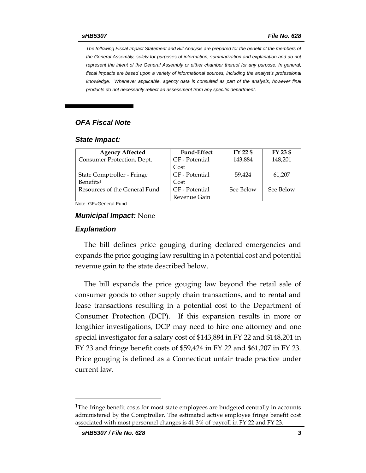*The following Fiscal Impact Statement and Bill Analysis are prepared for the benefit of the members of the General Assembly, solely for purposes of information, summarization and explanation and do not represent the intent of the General Assembly or either chamber thereof for any purpose. In general,*  fiscal impacts are based upon a variety of informational sources, including the analyst's professional *knowledge. Whenever applicable, agency data is consulted as part of the analysis, however final products do not necessarily reflect an assessment from any specific department.*

#### *OFA Fiscal Note*

#### *State Impact:*

| <b>Agency Affected</b>        | <b>Fund-Effect</b> | FY 22 \$  | FY 23 \$  |
|-------------------------------|--------------------|-----------|-----------|
| Consumer Protection, Dept.    | GF - Potential     | 143,884   | 148,201   |
|                               | Cost               |           |           |
| State Comptroller - Fringe    | GF - Potential     | 59.424    | 61,207    |
| Benefits <sup>1</sup>         | Cost               |           |           |
| Resources of the General Fund | GF - Potential     | See Below | See Below |
|                               | Revenue Gain       |           |           |

Note: GF=General Fund

#### *Municipal Impact:* None

#### *Explanation*

The bill defines price gouging during declared emergencies and expands the price gouging law resulting in a potential cost and potential revenue gain to the state described below.

The bill expands the price gouging law beyond the retail sale of consumer goods to other supply chain transactions, and to rental and lease transactions resulting in a potential cost to the Department of Consumer Protection (DCP). If this expansion results in more or lengthier investigations, DCP may need to hire one attorney and one special investigator for a salary cost of \$143,884 in FY 22 and \$148,201 in FY 23 and fringe benefit costs of \$59,424 in FY 22 and \$61,207 in FY 23. Price gouging is defined as a Connecticut unfair trade practice under current law.

<sup>&</sup>lt;sup>1</sup>The fringe benefit costs for most state employees are budgeted centrally in accounts administered by the Comptroller. The estimated active employee fringe benefit cost associated with most personnel changes is 41.3% of payroll in FY 22 and FY 23.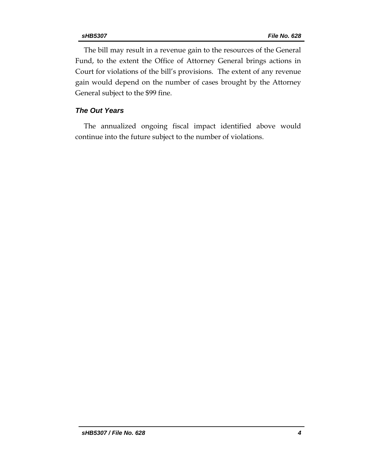The bill may result in a revenue gain to the resources of the General Fund, to the extent the Office of Attorney General brings actions in Court for violations of the bill's provisions. The extent of any revenue gain would depend on the number of cases brought by the Attorney General subject to the \$99 fine.

#### *The Out Years*

The annualized ongoing fiscal impact identified above would continue into the future subject to the number of violations.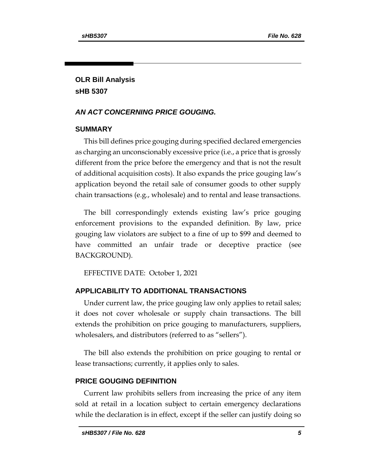# **OLR Bill Analysis sHB 5307**

## *AN ACT CONCERNING PRICE GOUGING.*

### **SUMMARY**

This bill defines price gouging during specified declared emergencies as charging an unconscionably excessive price (i.e., a price that is grossly different from the price before the emergency and that is not the result of additional acquisition costs). It also expands the price gouging law's application beyond the retail sale of consumer goods to other supply chain transactions (e.g., wholesale) and to rental and lease transactions.

The bill correspondingly extends existing law's price gouging enforcement provisions to the expanded definition. By law, price gouging law violators are subject to a fine of up to \$99 and deemed to have committed an unfair trade or deceptive practice (see BACKGROUND).

EFFECTIVE DATE: October 1, 2021

# **APPLICABILITY TO ADDITIONAL TRANSACTIONS**

Under current law, the price gouging law only applies to retail sales; it does not cover wholesale or supply chain transactions. The bill extends the prohibition on price gouging to manufacturers, suppliers, wholesalers, and distributors (referred to as "sellers").

The bill also extends the prohibition on price gouging to rental or lease transactions; currently, it applies only to sales.

### **PRICE GOUGING DEFINITION**

Current law prohibits sellers from increasing the price of any item sold at retail in a location subject to certain emergency declarations while the declaration is in effect, except if the seller can justify doing so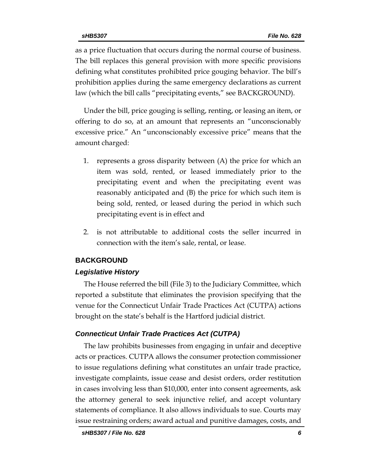as a price fluctuation that occurs during the normal course of business. The bill replaces this general provision with more specific provisions defining what constitutes prohibited price gouging behavior. The bill's prohibition applies during the same emergency declarations as current law (which the bill calls "precipitating events," see BACKGROUND).

Under the bill, price gouging is selling, renting, or leasing an item, or offering to do so, at an amount that represents an "unconscionably excessive price." An "unconscionably excessive price" means that the amount charged:

- 1. represents a gross disparity between (A) the price for which an item was sold, rented, or leased immediately prior to the precipitating event and when the precipitating event was reasonably anticipated and (B) the price for which such item is being sold, rented, or leased during the period in which such precipitating event is in effect and
- 2. is not attributable to additional costs the seller incurred in connection with the item's sale, rental, or lease.

#### **BACKGROUND**

#### *Legislative History*

The House referred the bill (File 3) to the Judiciary Committee, which reported a substitute that eliminates the provision specifying that the venue for the Connecticut Unfair Trade Practices Act (CUTPA) actions brought on the state's behalf is the Hartford judicial district.

#### *Connecticut Unfair Trade Practices Act (CUTPA)*

The law prohibits businesses from engaging in unfair and deceptive acts or practices. CUTPA allows the consumer protection commissioner to issue regulations defining what constitutes an unfair trade practice, investigate complaints, issue cease and desist orders, order restitution in cases involving less than \$10,000, enter into consent agreements, ask the attorney general to seek injunctive relief, and accept voluntary statements of compliance. It also allows individuals to sue. Courts may issue restraining orders; award actual and punitive damages, costs, and